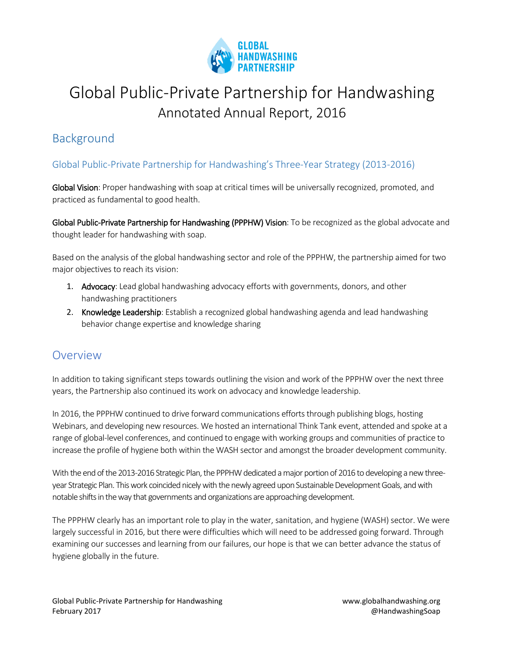

# Global Public-Private Partnership for Handwashing Annotated Annual Report, 2016

# Background

#### Global Public-Private Partnership for Handwashing's Three‐Year Strategy (2013-2016)

Global Vision: Proper handwashing with soap at critical times will be universally recognized, promoted, and practiced as fundamental to good health.

Global Public-Private Partnership for Handwashing (PPPHW) Vision: To be recognized as the global advocate and thought leader for handwashing with soap.

Based on the analysis of the global handwashing sector and role of the PPPHW, the partnership aimed for two major objectives to reach its vision:

- 1. Advocacy: Lead global handwashing advocacy efforts with governments, donors, and other handwashing practitioners
- 2. Knowledge Leadership: Establish a recognized global handwashing agenda and lead handwashing behavior change expertise and knowledge sharing

### Overview

In addition to taking significant steps towards outlining the vision and work of the PPPHW over the next three years, the Partnership also continued its work on advocacy and knowledge leadership.

In 2016, the PPPHW continued to drive forward communications efforts through publishing blogs, hosting Webinars, and developing new resources. We hosted an international Think Tank event, attended and spoke at a range of global-level conferences, and continued to engage with working groups and communities of practice to increase the profile of hygiene both within the WASH sector and amongst the broader development community.

With the end of the 2013-2016 Strategic Plan, the PPPHW dedicated a major portion of 2016 to developing a new threeyear Strategic Plan. This work coincided nicely with the newly agreed upon Sustainable Development Goals, and with notable shifts in the way that governments and organizations are approaching development.

The PPPHW clearly has an important role to play in the water, sanitation, and hygiene (WASH) sector. We were largely successful in 2016, but there were difficulties which will need to be addressed going forward. Through examining our successes and learning from our failures, our hope is that we can better advance the status of hygiene globally in the future.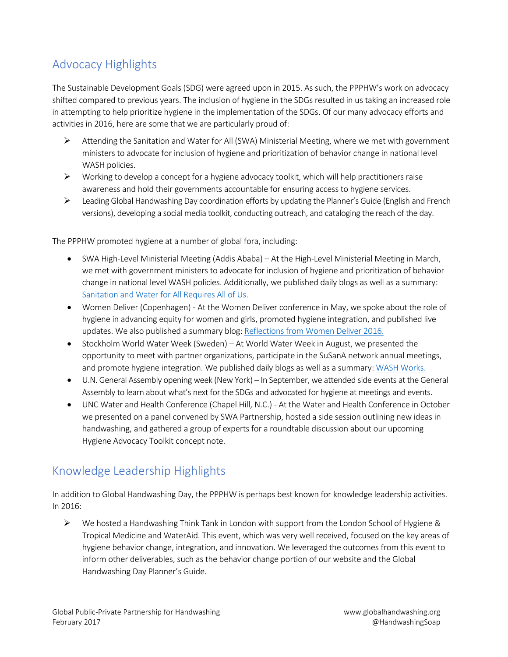# Advocacy Highlights

The Sustainable Development Goals (SDG) were agreed upon in 2015. As such, the PPPHW's work on advocacy shifted compared to previous years. The inclusion of hygiene in the SDGs resulted in us taking an increased role in attempting to help prioritize hygiene in the implementation of the SDGs. Of our many advocacy efforts and activities in 2016, here are some that we are particularly proud of:

- $\triangleright$  Attending the Sanitation and Water for All (SWA) Ministerial Meeting, where we met with government ministers to advocate for inclusion of hygiene and prioritization of behavior change in national level WASH policies.
- $\triangleright$  Working to develop a concept for a hygiene advocacy toolkit, which will help practitioners raise awareness and hold their governments accountable for ensuring access to hygiene services.
- Leading Global Handwashing Day coordination efforts by updating the Planner's Guide (English and French versions), developing a social media toolkit, conducting outreach, and cataloging the reach of the day.

The PPPHW promoted hygiene at a number of global fora, including:

- SWA High-Level Ministerial Meeting (Addis Ababa) At the High-Level Ministerial Meeting in March, we met with government ministers to advocate for inclusion of hygiene and prioritization of behavior change in national level WASH policies. Additionally, we published daily blogs as well as a summary: [Sanitation and Water for All Requires All of Us.](http://globalhandwashing.org/sanitation-and-water-for-all-requires-all-of-us/)
- Women Deliver (Copenhagen) At the Women Deliver conference in May, we spoke about the role of hygiene in advancing equity for women and girls, promoted hygiene integration, and published live updates. We also published a summary blog: [Reflections from Women Deliver 2016.](http://globalhandwashing.org/reflections-from-women-deliver-2016/)
- Stockholm World Water Week (Sweden) At World Water Week in August, we presented the opportunity to meet with partner organizations, participate in the SuSanA network annual meetings, and promote hygiene integration. We published daily blogs as well as a summary: [WASH Works.](http://globalhandwashing.org/wash-works/)
- U.N. General Assembly opening week (New York) In September, we attended side events at the General Assembly to learn about what's next for the SDGs and advocated for hygiene at meetings and events.
- UNC Water and Health Conference (Chapel Hill, N.C.) At the Water and Health Conference in October we presented on a panel convened by SWA Partnership, hosted a side session outlining new ideas in handwashing, and gathered a group of experts for a roundtable discussion about our upcoming Hygiene Advocacy Toolkit concept note.

## Knowledge Leadership Highlights

In addition to Global Handwashing Day, the PPPHW is perhaps best known for knowledge leadership activities. In 2016:

 $\triangleright$  We hosted a Handwashing Think Tank in London with support from the London School of Hygiene & Tropical Medicine and WaterAid. This event, which was very well received, focused on the key areas of hygiene behavior change, integration, and innovation. We leveraged the outcomes from this event to inform other deliverables, such as the behavior change portion of our website and the Global Handwashing Day Planner's Guide.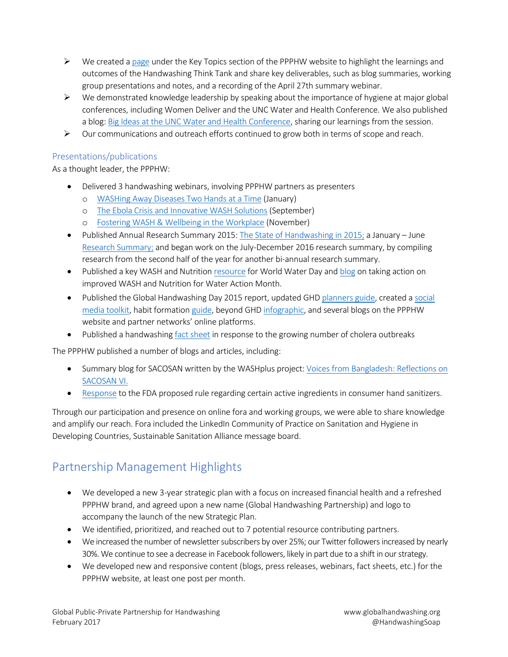- $\triangleright$  We created [a page](http://globalhandwashing.org/think-tank/#think tank) under the Key Topics section of the PPPHW website to highlight the learnings and outcomes of the Handwashing Think Tank and share key deliverables, such as blog summaries, working group presentations and notes, and a recording of the April 27th summary webinar.
- $\triangleright$  We demonstrated knowledge leadership by speaking about the importance of hygiene at major global conferences, including Women Deliver and the UNC Water and Health Conference. We also published a blog: [Big Ideas at the UNC Water and Health Conference,](http://globalhandwashing.org/big-ideas-at-the-unc-water-and-health-conference/) sharing our learnings from the session.
- $\triangleright$  Our communications and outreach efforts continued to grow both in terms of scope and reach.

#### Presentations/publications

As a thought leader, the PPPHW:

- Delivered 3 handwashing webinars, involving PPPHW partners as presenters
	- o [WASHing Away Diseases Two Hands at a Time](http://globalhandwashing.org/washing-away-diseases-two-hands-at-a-time-webinar-recap/) (January)
	- o [The Ebola Crisis and Innovative WASH Solutions](http://globalhandwashing.org/the-ebola-crisis-and-innovative-wash-solutions-webinar-recap/) (September)
	- o [Fostering WASH & Wellbeing in the Workplace](http://globalhandwashing.org/fostering-wash-wellbeing-in-the-workplace-webinar-recap/) (November)
- Published Annual Research Summary 2015: [The State of Handwashing in 2015;](http://globalhandwashing.org/wp-content/uploads/2015/01/2015-Annual-Handwashing-Research-Summary.pdf) a January June [Research Summary;](http://globalhandwashing.org/wp-content/uploads/2015/01/Handwashing-Research-Summary-Jan-June-2016.pdf) and began work on the July-December 2016 research summary, by compiling research from the second half of the year for another bi-annual research summary.
- Published a key WASH and Nutrition [resource](http://globalhandwashing.org/key-wash-and-nutrition-resources-for-world-water-day/) for World Water Day an[d blog](http://globalhandwashing.org/taking-action-and-marching-for-improved-wash-nut/) on taking action on improved WASH and Nutrition for Water Action Month.
- Published the Global Handwashing Day 2015 report, updated GHD [planners guide,](http://globalhandwashing.org/global-handwashing-day-planners-guide-5th-edition/) created a [social](http://globalhandwashing.org/global-handwashing-day/ghd-resources/ghd_social_media_toolkit/)  [media toolkit,](http://globalhandwashing.org/global-handwashing-day/ghd-resources/ghd_social_media_toolkit/) habit formation [guide,](http://globalhandwashing.org/why-make-handwashing-a-habit-an-explanation-of-this-years-global-handwashing-day-theme/) beyond GH[D infographic,](file:///C:/Users/bmanavizadeh/Desktop/5%20Things%20to%20do%20after%20Global%20Handwashing%20Day) and several blogs on the PPPHW website and partner networks' online platforms.
- Published a handwashin[g fact sheet](http://globalhandwashing.org/cholera-and-handwashing-fact-sheet/) in response to the growing number of cholera outbreaks

The PPPHW published a number of blogs and articles, including:

- Summary blog for SACOSAN written by the WASHplus project: Voices from Bangladesh: Reflections on [SACOSAN VI.](http://globalhandwashing.org/voices-from-bangladesh-reflections-on-sacosan-vi/)
- [Response](http://globalhandwashing.org/handwashing-with-soap-a-safe-and-effective-way-to-prevent-infections/) to the FDA proposed rule regarding certain active ingredients in consumer hand sanitizers.

Through our participation and presence on online fora and working groups, we were able to share knowledge and amplify our reach. Fora included the LinkedIn Community of Practice on Sanitation and Hygiene in Developing Countries, Sustainable Sanitation Alliance message board.

### Partnership Management Highlights

- We developed a new 3-year strategic plan with a focus on increased financial health and a refreshed PPPHW brand, and agreed upon a new name (Global Handwashing Partnership) and logo to accompany the launch of the new Strategic Plan.
- We identified, prioritized, and reached out to 7 potential resource contributing partners.
- We increased the number of newsletter subscribers by over 25%; our Twitter followers increased by nearly 30%. We continue to see a decrease in Facebook followers, likely in part due to a shift in our strategy.
- We developed new and responsive content (blogs, press releases, webinars, fact sheets, etc.) for the PPPHW website, at least one post per month.